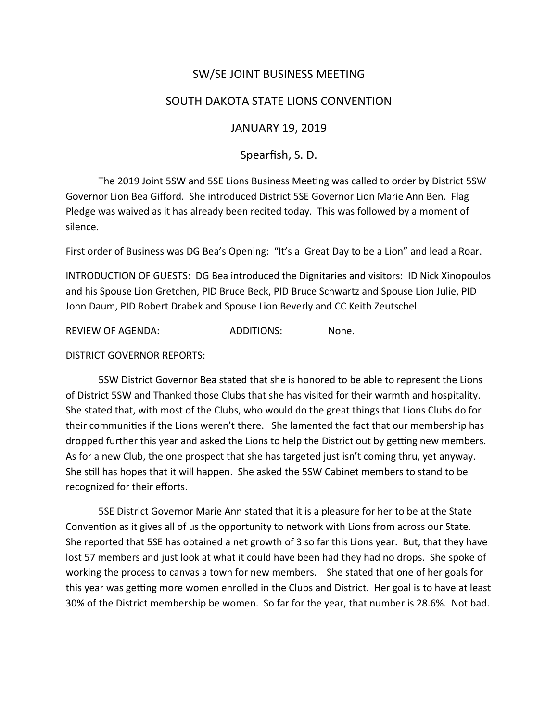# SW/SE JOINT BUSINESS MEETING

## SOUTH DAKOTA STATE LIONS CONVENTION

#### JANUARY 19, 2019

### Spearfish, S. D.

The 2019 Joint 5SW and 5SE Lions Business Meeting was called to order by District 5SW Governor Lion Bea Gifford. She introduced District 5SE Governor Lion Marie Ann Ben. Flag Pledge was waived as it has already been recited today. This was followed by a moment of silence.

First order of Business was DG Bea's Opening: "It's a Great Day to be a Lion" and lead a Roar.

INTRODUCTION OF GUESTS: DG Bea introduced the Dignitaries and visitors: ID Nick Xinopoulos and his Spouse Lion Gretchen, PID Bruce Beck, PID Bruce Schwartz and Spouse Lion Julie, PID John Daum, PID Robert Drabek and Spouse Lion Beverly and CC Keith Zeutschel.

REVIEW OF AGENDA: ADDITIONS: None.

DISTRICT GOVERNOR REPORTS:

5SW District Governor Bea stated that she is honored to be able to represent the Lions of District 5SW and Thanked those Clubs that she has visited for their warmth and hospitality. She stated that, with most of the Clubs, who would do the great things that Lions Clubs do for their communities if the Lions weren't there. She lamented the fact that our membership has dropped further this year and asked the Lions to help the District out by getting new members. As for a new Club, the one prospect that she has targeted just isn't coming thru, yet anyway. She still has hopes that it will happen. She asked the 5SW Cabinet members to stand to be recognized for their efforts.

5SE District Governor Marie Ann stated that it is a pleasure for her to be at the State Convention as it gives all of us the opportunity to network with Lions from across our State. She reported that 5SE has obtained a net growth of 3 so far this Lions year. But, that they have lost 57 members and just look at what it could have been had they had no drops. She spoke of working the process to canvas a town for new members. She stated that one of her goals for this year was getting more women enrolled in the Clubs and District. Her goal is to have at least 30% of the District membership be women. So far for the year, that number is 28.6%. Not bad.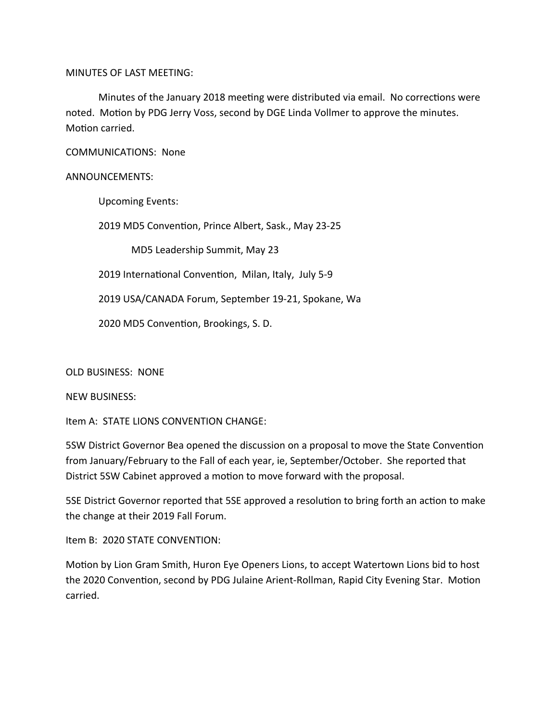MINUTES OF LAST MEETING:

Minutes of the January 2018 meeting were distributed via email. No corrections were noted. Motion by PDG Jerry Voss, second by DGE Linda Vollmer to approve the minutes. Motion carried.

COMMUNICATIONS: None

#### ANNOUNCEMENTS:

Upcoming Events:

2019 MD5 Convention, Prince Albert, Sask., May 23-25

MD5 Leadership Summit, May 23

2019 International Convention, Milan, Italy, July 5-9

2019 USA/CANADA Forum, September 19-21, Spokane, Wa

2020 MD5 Convention, Brookings, S. D.

OLD BUSINESS: NONE

NEW BUSINESS:

Item A: STATE LIONS CONVENTION CHANGE:

5SW District Governor Bea opened the discussion on a proposal to move the State Convention from January/February to the Fall of each year, ie, September/October. She reported that District 5SW Cabinet approved a motion to move forward with the proposal.

5SE District Governor reported that 5SE approved a resolution to bring forth an action to make the change at their 2019 Fall Forum.

Item B: 2020 STATE CONVENTION:

Motion by Lion Gram Smith, Huron Eye Openers Lions, to accept Watertown Lions bid to host the 2020 Convention, second by PDG Julaine Arient-Rollman, Rapid City Evening Star. Motion carried.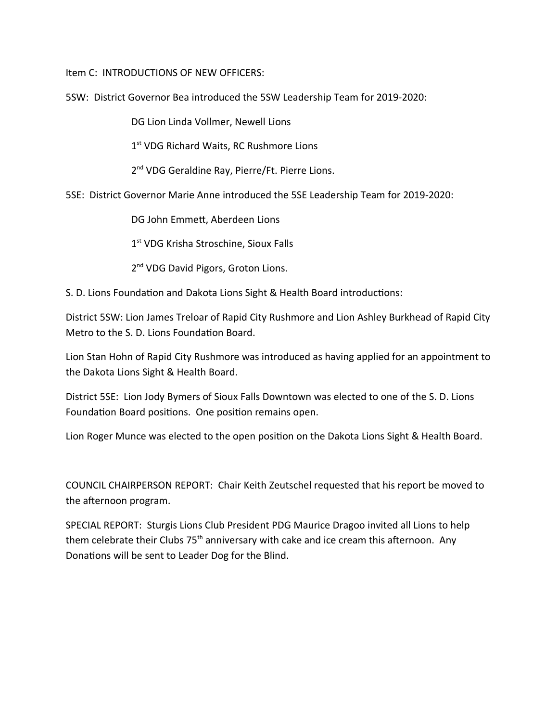Item C: INTRODUCTIONS OF NEW OFFICERS:

5SW: District Governor Bea introduced the 5SW Leadership Team for 2019-2020:

DG Lion Linda Vollmer, Newell Lions

1<sup>st</sup> VDG Richard Waits, RC Rushmore Lions

2<sup>nd</sup> VDG Geraldine Ray, Pierre/Ft. Pierre Lions.

5SE: District Governor Marie Anne introduced the 5SE Leadership Team for 2019-2020:

DG John Emmett, Aberdeen Lions

1<sup>st</sup> VDG Krisha Stroschine, Sioux Falls

2<sup>nd</sup> VDG David Pigors, Groton Lions.

S. D. Lions Foundation and Dakota Lions Sight & Health Board introductions:

District 5SW: Lion James Treloar of Rapid City Rushmore and Lion Ashley Burkhead of Rapid City Metro to the S. D. Lions Foundation Board.

Lion Stan Hohn of Rapid City Rushmore was introduced as having applied for an appointment to the Dakota Lions Sight & Health Board.

District 5SE: Lion Jody Bymers of Sioux Falls Downtown was elected to one of the S. D. Lions Foundation Board positions. One position remains open.

Lion Roger Munce was elected to the open position on the Dakota Lions Sight & Health Board.

COUNCIL CHAIRPERSON REPORT: Chair Keith Zeutschel requested that his report be moved to the afternoon program.

SPECIAL REPORT: Sturgis Lions Club President PDG Maurice Dragoo invited all Lions to help them celebrate their Clubs  $75<sup>th</sup>$  anniversary with cake and ice cream this afternoon. Any Donations will be sent to Leader Dog for the Blind.